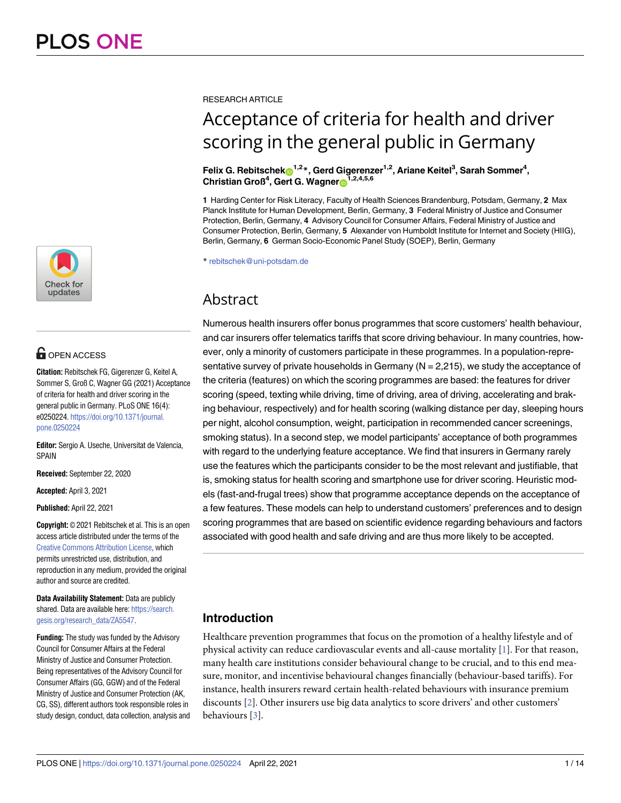

## **OPEN ACCESS**

**Citation:** Rebitschek FG, Gigerenzer G, Keitel A, Sommer S, Groß C, Wagner GG (2021) Acceptance of criteria for health and driver scoring in the general public in Germany. PLoS ONE 16(4): e0250224. [https://doi.org/10.1371/journal.](https://doi.org/10.1371/journal.pone.0250224) [pone.0250224](https://doi.org/10.1371/journal.pone.0250224)

**Editor:** Sergio A. Useche, Universitat de Valencia, SPAIN

**Received:** September 22, 2020

**Accepted:** April 3, 2021

**Published:** April 22, 2021

**Copyright:** © 2021 Rebitschek et al. This is an open access article distributed under the terms of the Creative Commons [Attribution](http://creativecommons.org/licenses/by/4.0/) License, which permits unrestricted use, distribution, and reproduction in any medium, provided the original author and source are credited.

**Data Availability Statement:** Data are publicly shared. Data are available here: [https://search.](https://search.gesis.org/research_data/ZA5547) [gesis.org/research\\_data/ZA5547](https://search.gesis.org/research_data/ZA5547).

**Funding:** The study was funded by the Advisory Council for Consumer Affairs at the Federal Ministry of Justice and Consumer Protection. Being representatives of the Advisory Council for Consumer Affairs (GG, GGW) and of the Federal Ministry of Justice and Consumer Protection (AK, CG, SS), different authors took responsible roles in study design, conduct, data collection, analysis and

#### <span id="page-0-0"></span>RESEARCH ARTICLE

# Acceptance of criteria for health and driver scoring in the general public in Germany

 ${\bf F}$ elix G. Rebitschek ${\bf D}^{1,2}$ \*, Gerd Gigerenzer<sup>1,2</sup>, Ariane Keitel<sup>3</sup>, Sarah Sommer<sup>4</sup>, **Christian Groß4 , Gert G. Wagner[ID1](https://orcid.org/0000-0002-5985-4073),2,4,5,6**

**1** Harding Center for Risk Literacy, Faculty of Health Sciences Brandenburg, Potsdam, Germany, **2** Max Planck Institute for Human Development, Berlin, Germany, **3** Federal Ministry of Justice and Consumer Protection, Berlin, Germany, **4** Advisory Council for Consumer Affairs, Federal Ministry of Justice and Consumer Protection, Berlin, Germany, **5** Alexander von Humboldt Institute for Internet and Society (HIIG), Berlin, Germany, **6** German Socio-Economic Panel Study (SOEP), Berlin, Germany

\* rebitschek@uni-potsdam.de

## Abstract

Numerous health insurers offer bonus programmes that score customers' health behaviour, and car insurers offer telematics tariffs that score driving behaviour. In many countries, however, only a minority of customers participate in these programmes. In a population-representative survey of private households in Germany  $(N = 2,215)$ , we study the acceptance of the criteria (features) on which the scoring programmes are based: the features for driver scoring (speed, texting while driving, time of driving, area of driving, accelerating and braking behaviour, respectively) and for health scoring (walking distance per day, sleeping hours per night, alcohol consumption, weight, participation in recommended cancer screenings, smoking status). In a second step, we model participants' acceptance of both programmes with regard to the underlying feature acceptance. We find that insurers in Germany rarely use the features which the participants consider to be the most relevant and justifiable, that is, smoking status for health scoring and smartphone use for driver scoring. Heuristic models (fast-and-frugal trees) show that programme acceptance depends on the acceptance of a few features. These models can help to understand customers' preferences and to design scoring programmes that are based on scientific evidence regarding behaviours and factors associated with good health and safe driving and are thus more likely to be accepted.

### **Introduction**

Healthcare prevention programmes that focus on the promotion of a healthy lifestyle and of physical activity can reduce cardiovascular events and all-cause mortality [\[1\]](#page-10-0). For that reason, many health care institutions consider behavioural change to be crucial, and to this end measure, monitor, and incentivise behavioural changes financially (behaviour-based tariffs). For instance, health insurers reward certain health-related behaviours with insurance premium discounts [[2\]](#page-11-0). Other insurers use big data analytics to score drivers' and other customers' behaviours [\[3](#page-11-0)].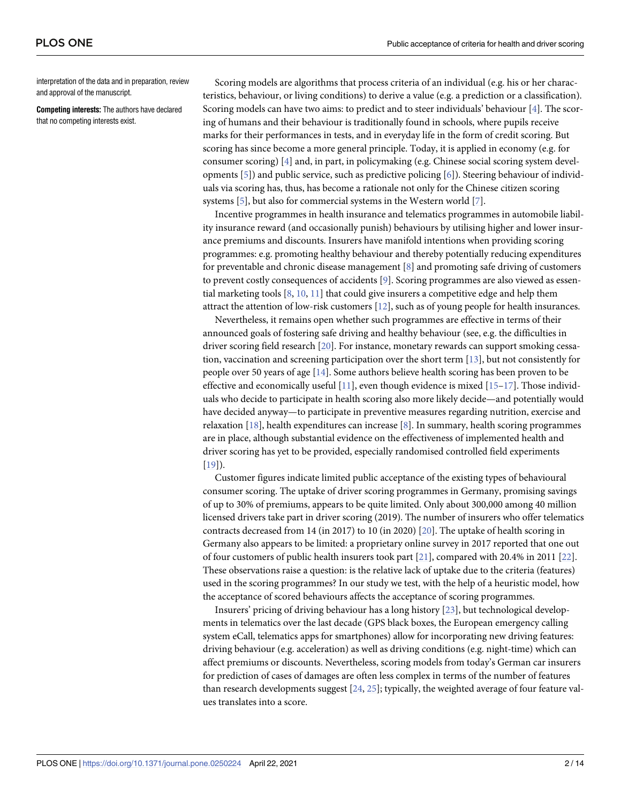<span id="page-1-0"></span>interpretation of the data and in preparation, review and approval of the manuscript.

**Competing interests:** The authors have declared that no competing interests exist.

Scoring models are algorithms that process criteria of an individual (e.g. his or her characteristics, behaviour, or living conditions) to derive a value (e.g. a prediction or a classification). Scoring models can have two aims: to predict and to steer individuals' behaviour [[4\]](#page-11-0). The scoring of humans and their behaviour is traditionally found in schools, where pupils receive marks for their performances in tests, and in everyday life in the form of credit scoring. But scoring has since become a more general principle. Today, it is applied in economy (e.g. for consumer scoring) [\[4](#page-11-0)] and, in part, in policymaking (e.g. Chinese social scoring system developments [\[5](#page-11-0)]) and public service, such as predictive policing [[6](#page-11-0)]). Steering behaviour of individuals via scoring has, thus, has become a rationale not only for the Chinese citizen scoring systems [\[5](#page-11-0)], but also for commercial systems in the Western world [[7](#page-11-0)].

Incentive programmes in health insurance and telematics programmes in automobile liability insurance reward (and occasionally punish) behaviours by utilising higher and lower insurance premiums and discounts. Insurers have manifold intentions when providing scoring programmes: e.g. promoting healthy behaviour and thereby potentially reducing expenditures for preventable and chronic disease management [[8](#page-11-0)] and promoting safe driving of customers to prevent costly consequences of accidents [[9\]](#page-11-0). Scoring programmes are also viewed as essential marketing tools  $[8, 10, 11]$  $[8, 10, 11]$  $[8, 10, 11]$  $[8, 10, 11]$  $[8, 10, 11]$  $[8, 10, 11]$  that could give insurers a competitive edge and help them attract the attention of low-risk customers [[12](#page-11-0)], such as of young people for health insurances.

Nevertheless, it remains open whether such programmes are effective in terms of their announced goals of fostering safe driving and healthy behaviour (see, e.g. the difficulties in driver scoring field research [[20](#page-11-0)]. For instance, monetary rewards can support smoking cessation, vaccination and screening participation over the short term [[13\]](#page-11-0), but not consistently for people over 50 years of age [[14](#page-11-0)]. Some authors believe health scoring has been proven to be effective and economically useful  $[11]$  $[11]$ , even though evidence is mixed  $[15-17]$ . Those individuals who decide to participate in health scoring also more likely decide—and potentially would have decided anyway—to participate in preventive measures regarding nutrition, exercise and relaxation [[18](#page-11-0)], health expenditures can increase [[8\]](#page-11-0). In summary, health scoring programmes are in place, although substantial evidence on the effectiveness of implemented health and driver scoring has yet to be provided, especially randomised controlled field experiments [\[19\]](#page-11-0)).

Customer figures indicate limited public acceptance of the existing types of behavioural consumer scoring. The uptake of driver scoring programmes in Germany, promising savings of up to 30% of premiums, appears to be quite limited. Only about 300,000 among 40 million licensed drivers take part in driver scoring (2019). The number of insurers who offer telematics contracts decreased from 14 (in 2017) to 10 (in 2020) [\[20\]](#page-11-0). The uptake of health scoring in Germany also appears to be limited: a proprietary online survey in 2017 reported that one out of four customers of public health insurers took part [\[21\]](#page-11-0), compared with 20.4% in 2011 [\[22\]](#page-11-0). These observations raise a question: is the relative lack of uptake due to the criteria (features) used in the scoring programmes? In our study we test, with the help of a heuristic model, how the acceptance of scored behaviours affects the acceptance of scoring programmes.

Insurers' pricing of driving behaviour has a long history [\[23\]](#page-11-0), but technological developments in telematics over the last decade (GPS black boxes, the European emergency calling system eCall, telematics apps for smartphones) allow for incorporating new driving features: driving behaviour (e.g. acceleration) as well as driving conditions (e.g. night-time) which can affect premiums or discounts. Nevertheless, scoring models from today's German car insurers for prediction of cases of damages are often less complex in terms of the number of features than research developments suggest [[24](#page-11-0), [25](#page-11-0)]; typically, the weighted average of four feature values translates into a score.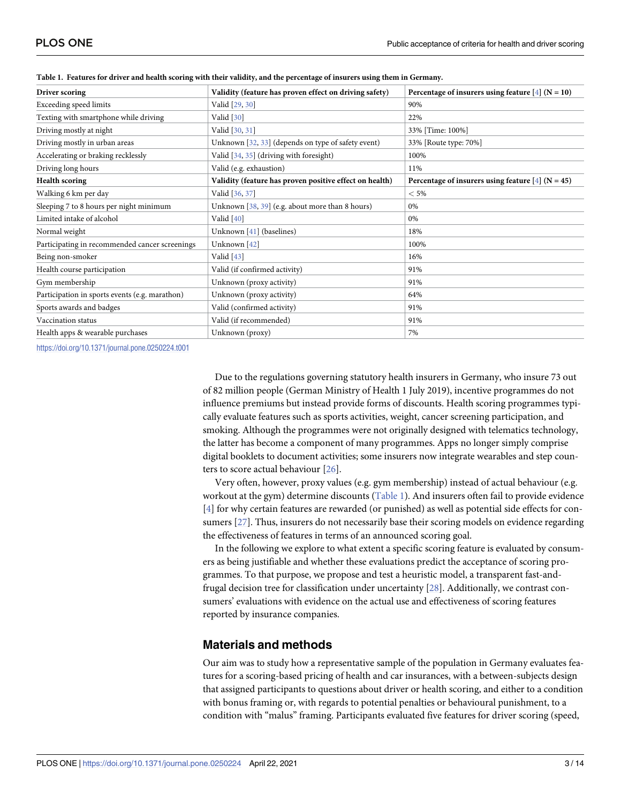| Validity (feature has proven effect on driving safety)  | Percentage of insurers using feature $[4]$ (N = 10) |  |  |  |
|---------------------------------------------------------|-----------------------------------------------------|--|--|--|
| Valid [29, 30]                                          | 90%                                                 |  |  |  |
| Valid [30]                                              | 22%                                                 |  |  |  |
| Valid [30, 31]                                          | 33% [Time: 100%]                                    |  |  |  |
| Unknown [32, 33] (depends on type of safety event)      | 33% [Route type: 70%]                               |  |  |  |
| Valid [34, 35] (driving with foresight)                 | 100%                                                |  |  |  |
| Valid (e.g. exhaustion)                                 | 11%                                                 |  |  |  |
| Validity (feature has proven positive effect on health) | Percentage of insurers using feature $[4]$ (N = 45) |  |  |  |
| Valid [36, 37]                                          | $< 5\%$                                             |  |  |  |
| Unknown [38, 39] (e.g. about more than 8 hours)         | 0%                                                  |  |  |  |
| Valid [40]                                              | 0%                                                  |  |  |  |
| Unknown [41] (baselines)                                | 18%                                                 |  |  |  |
| Unknown [42]                                            | 100%                                                |  |  |  |
| Valid $[43]$                                            | 16%                                                 |  |  |  |
| Valid (if confirmed activity)                           | 91%                                                 |  |  |  |
| Unknown (proxy activity)                                | 91%                                                 |  |  |  |
| Unknown (proxy activity)                                | 64%                                                 |  |  |  |
| Valid (confirmed activity)                              | 91%                                                 |  |  |  |
| Valid (if recommended)                                  | 91%                                                 |  |  |  |
| Unknown (proxy)                                         | 7%                                                  |  |  |  |
|                                                         |                                                     |  |  |  |

<span id="page-2-0"></span>Table 1. Features for driver and health scoring with their validity, and the percentage of insurers using them in Germany.

<https://doi.org/10.1371/journal.pone.0250224.t001>

Due to the regulations governing statutory health insurers in Germany, who insure 73 out of 82 million people (German Ministry of Health 1 July 2019), incentive programmes do not influence premiums but instead provide forms of discounts. Health scoring programmes typically evaluate features such as sports activities, weight, cancer screening participation, and smoking. Although the programmes were not originally designed with telematics technology, the latter has become a component of many programmes. Apps no longer simply comprise digital booklets to document activities; some insurers now integrate wearables and step counters to score actual behaviour [[26](#page-12-0)].

Very often, however, proxy values (e.g. gym membership) instead of actual behaviour (e.g. workout at the gym) determine discounts (Table 1). And insurers often fail to provide evidence [\[4](#page-11-0)] for why certain features are rewarded (or punished) as well as potential side effects for consumers [\[27\]](#page-12-0). Thus, insurers do not necessarily base their scoring models on evidence regarding the effectiveness of features in terms of an announced scoring goal.

In the following we explore to what extent a specific scoring feature is evaluated by consumers as being justifiable and whether these evaluations predict the acceptance of scoring programmes. To that purpose, we propose and test a heuristic model, a transparent fast-andfrugal decision tree for classification under uncertainty [\[28\]](#page-12-0). Additionally, we contrast consumers' evaluations with evidence on the actual use and effectiveness of scoring features reported by insurance companies.

#### **Materials and methods**

Our aim was to study how a representative sample of the population in Germany evaluates features for a scoring-based pricing of health and car insurances, with a between-subjects design that assigned participants to questions about driver or health scoring, and either to a condition with bonus framing or, with regards to potential penalties or behavioural punishment, to a condition with "malus" framing. Participants evaluated five features for driver scoring (speed,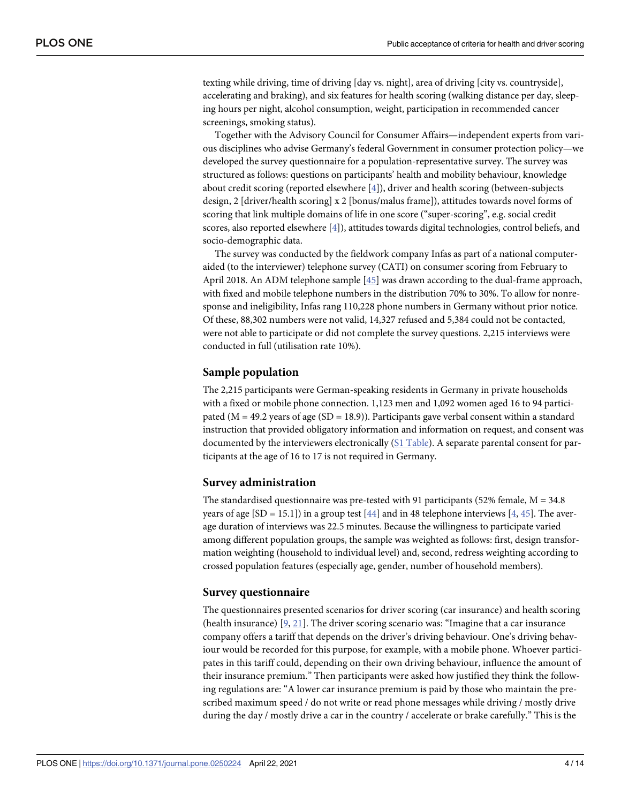<span id="page-3-0"></span>texting while driving, time of driving [day vs. night], area of driving [city vs. countryside], accelerating and braking), and six features for health scoring (walking distance per day, sleeping hours per night, alcohol consumption, weight, participation in recommended cancer screenings, smoking status).

Together with the Advisory Council for Consumer Affairs—independent experts from various disciplines who advise Germany's federal Government in consumer protection policy—we developed the survey questionnaire for a population-representative survey. The survey was structured as follows: questions on participants' health and mobility behaviour, knowledge about credit scoring (reported elsewhere [\[4](#page-11-0)]), driver and health scoring (between-subjects design, 2 [driver/health scoring] x 2 [bonus/malus frame]), attitudes towards novel forms of scoring that link multiple domains of life in one score ("super-scoring", e.g. social credit scores, also reported elsewhere [[4](#page-11-0)]), attitudes towards digital technologies, control beliefs, and socio-demographic data.

The survey was conducted by the fieldwork company Infas as part of a national computeraided (to the interviewer) telephone survey (CATI) on consumer scoring from February to April 2018. An ADM telephone sample [\[45\]](#page-12-0) was drawn according to the dual-frame approach, with fixed and mobile telephone numbers in the distribution 70% to 30%. To allow for nonresponse and ineligibility, Infas rang 110,228 phone numbers in Germany without prior notice. Of these, 88,302 numbers were not valid, 14,327 refused and 5,384 could not be contacted, were not able to participate or did not complete the survey questions. 2,215 interviews were conducted in full (utilisation rate 10%).

#### **Sample population**

The 2,215 participants were German-speaking residents in Germany in private households with a fixed or mobile phone connection. 1,123 men and 1,092 women aged 16 to 94 participated ( $M = 49.2$  years of age (SD = 18.9)). Participants gave verbal consent within a standard instruction that provided obligatory information and information on request, and consent was documented by the interviewers electronically (S1 [Table\)](#page-10-0). A separate parental consent for participants at the age of 16 to 17 is not required in Germany.

#### **Survey administration**

The standardised questionnaire was pre-tested with 91 participants (52% female,  $M = 34.8$ ) years of age  $[SD = 15.1]$  in a group test  $[44]$  $[44]$  $[44]$  and in 48 telephone interviews  $[4, 45]$  $[4, 45]$  $[4, 45]$  $[4, 45]$ . The average duration of interviews was 22.5 minutes. Because the willingness to participate varied among different population groups, the sample was weighted as follows: first, design transformation weighting (household to individual level) and, second, redress weighting according to crossed population features (especially age, gender, number of household members).

#### **Survey questionnaire**

The questionnaires presented scenarios for driver scoring (car insurance) and health scoring (health insurance) [\[9](#page-11-0), [21](#page-11-0)]. The driver scoring scenario was: "Imagine that a car insurance company offers a tariff that depends on the driver's driving behaviour. One's driving behaviour would be recorded for this purpose, for example, with a mobile phone. Whoever participates in this tariff could, depending on their own driving behaviour, influence the amount of their insurance premium." Then participants were asked how justified they think the following regulations are: "A lower car insurance premium is paid by those who maintain the prescribed maximum speed / do not write or read phone messages while driving / mostly drive during the day / mostly drive a car in the country / accelerate or brake carefully." This is the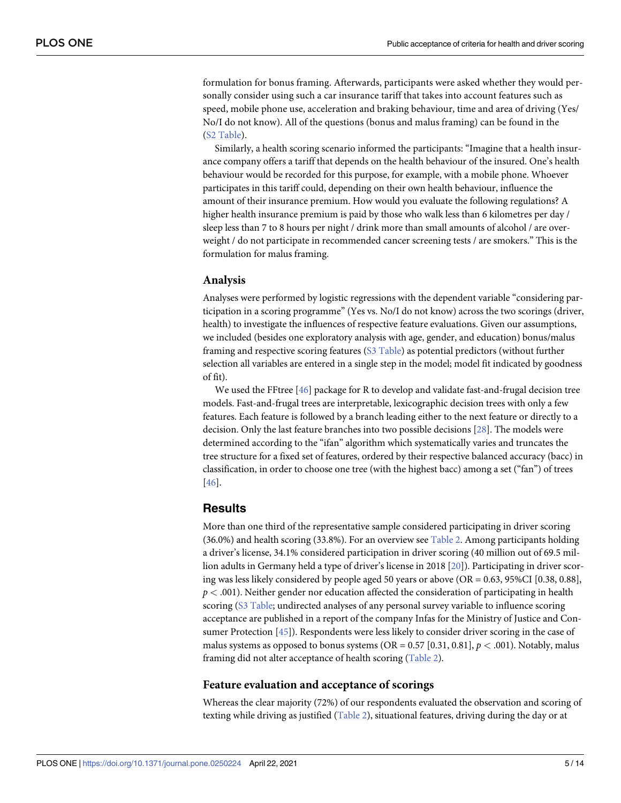<span id="page-4-0"></span>formulation for bonus framing. Afterwards, participants were asked whether they would personally consider using such a car insurance tariff that takes into account features such as speed, mobile phone use, acceleration and braking behaviour, time and area of driving (Yes/ No/I do not know). All of the questions (bonus and malus framing) can be found in the (S2 [Table\)](#page-10-0).

Similarly, a health scoring scenario informed the participants: "Imagine that a health insurance company offers a tariff that depends on the health behaviour of the insured. One's health behaviour would be recorded for this purpose, for example, with a mobile phone. Whoever participates in this tariff could, depending on their own health behaviour, influence the amount of their insurance premium. How would you evaluate the following regulations? A higher health insurance premium is paid by those who walk less than 6 kilometres per day / sleep less than 7 to 8 hours per night / drink more than small amounts of alcohol / are overweight / do not participate in recommended cancer screening tests / are smokers." This is the formulation for malus framing.

#### **Analysis**

Analyses were performed by logistic regressions with the dependent variable "considering participation in a scoring programme" (Yes vs. No/I do not know) across the two scorings (driver, health) to investigate the influences of respective feature evaluations. Given our assumptions, we included (besides one exploratory analysis with age, gender, and education) bonus/malus framing and respective scoring features (S3 [Table\)](#page-10-0) as potential predictors (without further selection all variables are entered in a single step in the model; model fit indicated by goodness of fit).

We used the FFtree [[46](#page-12-0)] package for R to develop and validate fast-and-frugal decision tree models. Fast-and-frugal trees are interpretable, lexicographic decision trees with only a few features. Each feature is followed by a branch leading either to the next feature or directly to a decision. Only the last feature branches into two possible decisions [\[28\]](#page-12-0). The models were determined according to the "ifan" algorithm which systematically varies and truncates the tree structure for a fixed set of features, ordered by their respective balanced accuracy (bacc) in classification, in order to choose one tree (with the highest bacc) among a set ("fan") of trees [\[46\]](#page-12-0).

#### **Results**

More than one third of the representative sample considered participating in driver scoring (36.0%) and health scoring (33.8%). For an overview see [Table](#page-5-0) 2. Among participants holding a driver's license, 34.1% considered participation in driver scoring (40 million out of 69.5 million adults in Germany held a type of driver's license in 2018 [[20](#page-11-0)]). Participating in driver scoring was less likely considered by people aged 50 years or above (OR = 0.63, 95%CI [0.38, 0.88], *p <* .001). Neither gender nor education affected the consideration of participating in health scoring (S3 [Table;](#page-10-0) undirected analyses of any personal survey variable to influence scoring acceptance are published in a report of the company Infas for the Ministry of Justice and Consumer Protection [[45](#page-12-0)]). Respondents were less likely to consider driver scoring in the case of malus systems as opposed to bonus systems (OR =  $0.57$  [0.31, 0.81],  $p < .001$ ). Notably, malus framing did not alter acceptance of health scoring ([Table](#page-5-0) 2).

#### **Feature evaluation and acceptance of scorings**

Whereas the clear majority (72%) of our respondents evaluated the observation and scoring of texting while driving as justified ([Table](#page-5-0) 2), situational features, driving during the day or at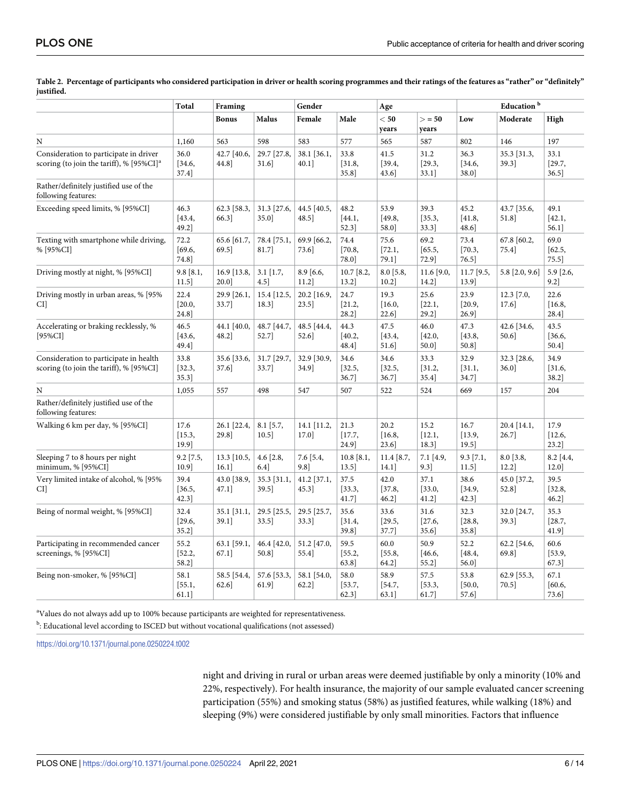|                                                                                                | Total                      | Framing                   |                         | Gender                  |                          | Age                        |                         | Education <sup>b</sup>  |                         |                            |
|------------------------------------------------------------------------------------------------|----------------------------|---------------------------|-------------------------|-------------------------|--------------------------|----------------------------|-------------------------|-------------------------|-------------------------|----------------------------|
|                                                                                                |                            | <b>Bonus</b>              | <b>Malus</b>            | Female                  | Male                     | $<$ 50<br>years            | > 50<br>years           | Low                     | Moderate                | High                       |
| N                                                                                              | 1,160                      | 563                       | 598                     | 583                     | 577                      | 565                        | 587                     | 802                     | 146                     | 197                        |
| Consideration to participate in driver<br>scoring (to join the tariff), % [95%CI] <sup>a</sup> | 36.0<br>[34.6,<br>37.4]    | 42.7 [40.6,<br>44.8       | 29.7 [27.8,<br>$31.6$ ] | 38.1 [36.1,<br>$40.1$ ] | 33.8<br>[31.8,<br>35.8]  | 41.5<br>[39.4,<br>43.6     | 31.2<br>[29.3,<br>33.1] | 36.3<br>[34.6,<br>38.0] | 35.3 [31.3,<br>39.3]    | 33.1<br>[29.7,<br>$36.5$ ] |
| Rather/definitely justified use of the<br>following features:                                  |                            |                           |                         |                         |                          |                            |                         |                         |                         |                            |
| Exceeding speed limits, % [95%CI]                                                              | 46.3<br>[43.4,<br>49.2]    | 62.3 [58.3,<br>66.3]      | 31.3 [27.6,<br>35.0]    | 44.5 [40.5,<br>48.5]    | 48.2<br>[44.1,<br>52.3]  | 53.9<br>[49.8,<br>58.0     | 39.3<br>[35.3,<br>33.3] | 45.2<br>[41.8,<br>48.6  | 43.7 [35.6,<br>51.8]    | 49.1<br>[42.1,<br>56.1]    |
| Texting with smartphone while driving,<br>% [95%CI]                                            | 72.2<br>[69.6,<br>74.8]    | 65.6 [61.7,<br>69.5]      | 78.4 [75.1,<br>81.7]    | 69.9 [66.2,<br>73.6     | 74.4<br>[70.8,<br>78.0]  | 75.6<br>[72.1,<br>79.1]    | 69.2<br>[65.5,<br>72.9] | 73.4<br>[70.3,<br>76.5] | 67.8 [60.2,<br>75.4     | 69.0<br>[62.5,<br>$75.5$ ] |
| Driving mostly at night, % [95%CI]                                                             | $9.8$ [8.1,<br>$11.5$ ]    | 16.9 [13.8,<br>20.0]      | $3.1$ [1.7,<br>$4.5$ ]  | $8.9$ [6.6,<br>$11.2$ ] | $10.7$ [8.2,<br>$13.2$ ] | $8.0$ [5.8,<br>$10.2$ ]    | $11.6$ [9.0,<br>14.2    | $11.7$ [9.5,<br>13.9]   | $5.8$ [2.0, 9.6]        | 5.9 [2.6,<br>$9.2$ ]       |
| Driving mostly in urban areas, % [95%<br>CI]                                                   | 22.4<br>[20.0,<br>24.8]    | 29.9 [26.1,<br>33.7]      | 15.4 [12.5,<br>18.3]    | 20.2 [16.9,<br>$23.5$ ] | 24.7<br>[21.2,<br>28.2]  | 19.3<br>[16.0,<br>$22.6$ ] | 25.6<br>[22.1,<br>29.2] | 23.9<br>[20.9,<br>26.9] | $12.3$ [7.0,<br>17.6    | 22.6<br>[16.8,<br>28.4]    |
| Accelerating or braking recklessly, %<br>$[95\%CI]$                                            | 46.5<br>[43.6,<br>49.4]    | 44.1 [40.0,<br>48.2]      | 48.7 [44.7,<br>52.7]    | 48.5 [44.4,<br>52.6]    | 44.3<br>[40.2,<br>48.4]  | 47.5<br>[43.4,<br>51.6]    | 46.0<br>[42.0,<br>50.0] | 47.3<br>[43.8,<br>50.8] | 42.6 [34.6,<br>$50.6$ ] | 43.5<br>[36.6,<br>50.4]    |
| Consideration to participate in health<br>scoring (to join the tariff), % [95%CI]              | 33.8<br>[32.3,<br>$35.3$ ] | 35.6 [33.6,<br>$37.6$ ]   | 31.7 [29.7,<br>33.7]    | 32.9 [30.9,<br>34.9]    | 34.6<br>[32.5,<br>36.7]  | 34.6<br>[32.5,<br>$36.7$ ] | 33.3<br>[31.2,<br>35.4] | 32.9<br>[31.1,<br>34.7] | 32.3 [28.6,<br>$36.0$ ] | 34.9<br>[31.6,<br>38.2]    |
| N                                                                                              | 1,055                      | 557                       | 498                     | 547                     | 507                      | 522                        | 524                     | 669                     | 157                     | 204                        |
| Rather/definitely justified use of the<br>following features:                                  |                            |                           |                         |                         |                          |                            |                         |                         |                         |                            |
| Walking 6 km per day, % [95%CI]                                                                | 17.6<br>[15.3,<br>19.9]    | 26.1 [22.4,<br>29.8       | $8.1$ [5.7,<br>$10.5$ ] | 14.1 [11.2,<br>17.0     | 21.3<br>[17.7,<br>24.9   | 20.2<br>[16.8,<br>23.6     | 15.2<br>[12.1,<br>18.3] | 16.7<br>[13.9,<br>19.5] | 20.4 [14.1,<br>26.7]    | 17.9<br>[12.6,<br>$23.2$ ] |
| Sleeping 7 to 8 hours per night<br>minimum, % [95%CI]                                          | $9.2$ [7.5,<br>10.9]       | $13.3$ [10.5,<br>$16.1$ ] | $4.6$ [2.8,<br>6.4      | $7.6$ [5.4,<br>9.8      | $10.8$ [8.1,<br>13.5]    | $11.4$ [8.7,<br>$14.1$ ]   | 7.1 [4.9,<br>9.3]       | $9.3$ [7.1,<br>11.5]    | $8.0$ [3.8,<br>$12.2$ ] | $8.2$ [4.4,<br>12.0        |
| Very limited intake of alcohol, % [95%<br>CI]                                                  | 39.4<br>[36.5,<br>42.3]    | 43.0 [38.9,<br>47.1]      | 35.3 [31.1,<br>39.5]    | 41.2 [37.1,<br>45.3]    | 37.5<br>[33.3,<br>41.7]  | 42.0<br>[37.8,<br>$46.2$ ] | 37.1<br>[33.0,<br>41.2] | 38.6<br>[34.9,<br>42.3] | 45.0 [37.2,<br>52.8     | 39.5<br>[32.8,<br>46.2]    |
| Being of normal weight, % [95%CI]                                                              | 32.4<br>[29.6,<br>$35.2$ ] | $35.1$ [31.1,<br>39.1]    | 29.5 [25.5,<br>$33.5$ ] | 29.5 [25.7,<br>33.3]    | 35.6<br>[31.4,<br>39.8]  | 33.6<br>[29.5,<br>37.7]    | 31.6<br>[27.6,<br>35.6] | 32.3<br>[28.8,<br>35.8] | 32.0 [24.7,<br>39.3]    | 35.3<br>[28.7,<br>41.9     |
| Participating in recommended cancer<br>screenings, % [95%CI]                                   | 55.2<br>[52.2,<br>58.2]    | 63.1 [59.1,<br>67.1]      | 46.4 [42.0,<br>50.8]    | 51.2 [47.0,<br>55.4]    | 59.5<br>[55.2,<br>63.8]  | 60.0<br>[55.8,<br>64.2     | 50.9<br>[46.6,<br>55.2] | 52.2<br>[48.4,<br>56.0  | 62.2 [54.6,<br>69.8]    | 60.6<br>[53.9,<br>67.3]    |
| Being non-smoker, % [95%CI]                                                                    | 58.1<br>[55.1,<br>$61.1$ ] | 58.5 [54.4,<br>62.6       | 57.6 [53.3,<br>61.9]    | 58.1 [54.0,<br>$62.2$ ] | 58.0<br>[53.7,<br>62.3   | 58.9<br>[54.7,<br>63.1     | 57.5<br>[53.3,<br>61.7  | 53.8<br>[50.0,<br>57.6  | 62.9 [55.3,<br>70.5     | 67.1<br>[60.6,<br>73.6     |

<span id="page-5-0"></span>[Table](#page-4-0) 2. Percentage of participants who considered participation in driver or health scoring programmes and their ratings of the features as "rather" or "definitely" **justified.**

<sup>a</sup>Values do not always add up to 100% because participants are weighted for representativeness.

<sup>b</sup>: Educational level according to ISCED but without vocational qualifications (not assessed)

<https://doi.org/10.1371/journal.pone.0250224.t002>

night and driving in rural or urban areas were deemed justifiable by only a minority (10% and 22%, respectively). For health insurance, the majority of our sample evaluated cancer screening participation (55%) and smoking status (58%) as justified features, while walking (18%) and sleeping (9%) were considered justifiable by only small minorities. Factors that influence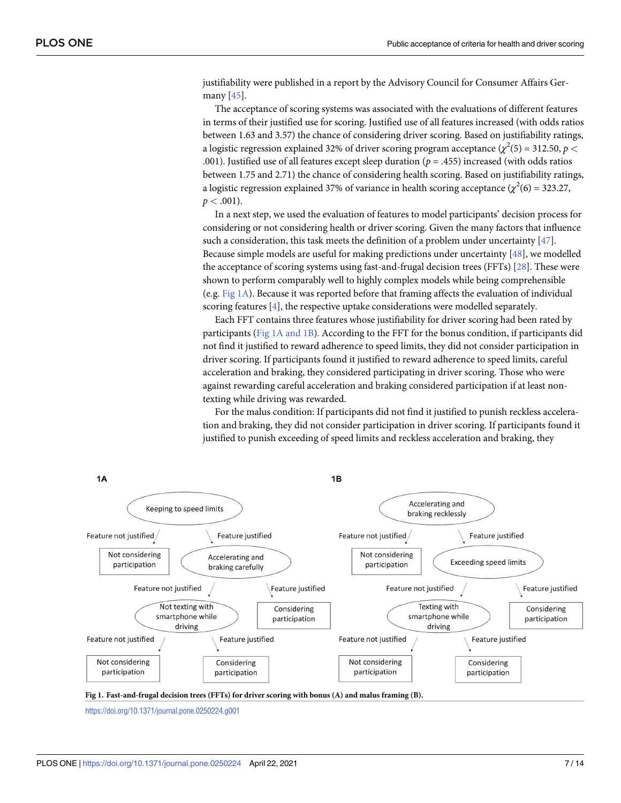<span id="page-6-0"></span>justifiability were published in a report by the Advisory Council for Consumer Affairs Germany [\[45\]](#page-12-0).

The acceptance of scoring systems was associated with the evaluations of different features in terms of their justified use for scoring. Justified use of all features increased (with odds ratios between 1.63 and 3.57) the chance of considering driver scoring. Based on justifiability ratings, a logistic regression explained 32% of driver scoring program acceptance ( $\chi^2(5)$  = 312.50,  $p <$ .001). Justified use of all features except sleep duration (*p* = .455) increased (with odds ratios between 1.75 and 2.71) the chance of considering health scoring. Based on justifiability ratings, a logistic regression explained 37% of variance in health scoring acceptance ( $\chi^2(6) = 323.27$ ,  $p < .001$ ).

In a next step, we used the evaluation of features to model participants' decision process for considering or not considering health or driver scoring. Given the many factors that influence such a consideration, this task meets the definition of a problem under uncertainty [[47](#page-12-0)]. Because simple models are useful for making predictions under uncertainty [\[48\]](#page-12-0), we modelled the acceptance of scoring systems using fast-and-frugal decision trees (FFTs) [[28](#page-12-0)]. These were shown to perform comparably well to highly complex models while being comprehensible (e.g. Fig 1A). Because it was reported before that framing affects the evaluation of individual scoring features [\[4](#page-11-0)], the respective uptake considerations were modelled separately.

Each FFT contains three features whose justifiability for driver scoring had been rated by participants (Fig 1A and 1B). According to the FFT for the bonus condition, if participants did not find it justified to reward adherence to speed limits, they did not consider participation in driver scoring. If participants found it justified to reward adherence to speed limits, careful acceleration and braking, they considered participating in driver scoring. Those who were against rewarding careful acceleration and braking considered participation if at least nontexting while driving was rewarded.

For the malus condition: If participants did not find it justified to punish reckless acceleration and braking, they did not consider participation in driver scoring. If participants found it justified to punish exceeding of speed limits and reckless acceleration and braking, they



<https://doi.org/10.1371/journal.pone.0250224.g001>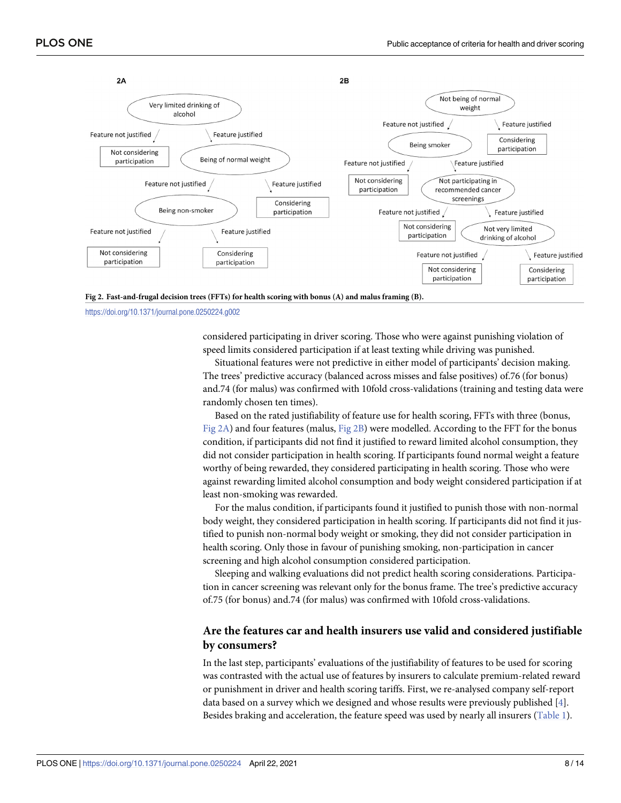<span id="page-7-0"></span>



<https://doi.org/10.1371/journal.pone.0250224.g002>

considered participating in driver scoring. Those who were against punishing violation of speed limits considered participation if at least texting while driving was punished.

Situational features were not predictive in either model of participants' decision making. The trees' predictive accuracy (balanced across misses and false positives) of.76 (for bonus) and.74 (for malus) was confirmed with 10fold cross-validations (training and testing data were randomly chosen ten times).

Based on the rated justifiability of feature use for health scoring, FFTs with three (bonus, Fig 2A) and four features (malus, Fig 2B) were modelled. According to the FFT for the bonus condition, if participants did not find it justified to reward limited alcohol consumption, they did not consider participation in health scoring. If participants found normal weight a feature worthy of being rewarded, they considered participating in health scoring. Those who were against rewarding limited alcohol consumption and body weight considered participation if at least non-smoking was rewarded.

For the malus condition, if participants found it justified to punish those with non-normal body weight, they considered participation in health scoring. If participants did not find it justified to punish non-normal body weight or smoking, they did not consider participation in health scoring. Only those in favour of punishing smoking, non-participation in cancer screening and high alcohol consumption considered participation.

Sleeping and walking evaluations did not predict health scoring considerations. Participation in cancer screening was relevant only for the bonus frame. The tree's predictive accuracy of.75 (for bonus) and.74 (for malus) was confirmed with 10fold cross-validations.

#### **Are the features car and health insurers use valid and considered justifiable by consumers?**

In the last step, participants' evaluations of the justifiability of features to be used for scoring was contrasted with the actual use of features by insurers to calculate premium-related reward or punishment in driver and health scoring tariffs. First, we re-analysed company self-report data based on a survey which we designed and whose results were previously published [[4](#page-11-0)]. Besides braking and acceleration, the feature speed was used by nearly all insurers ([Table](#page-2-0) 1).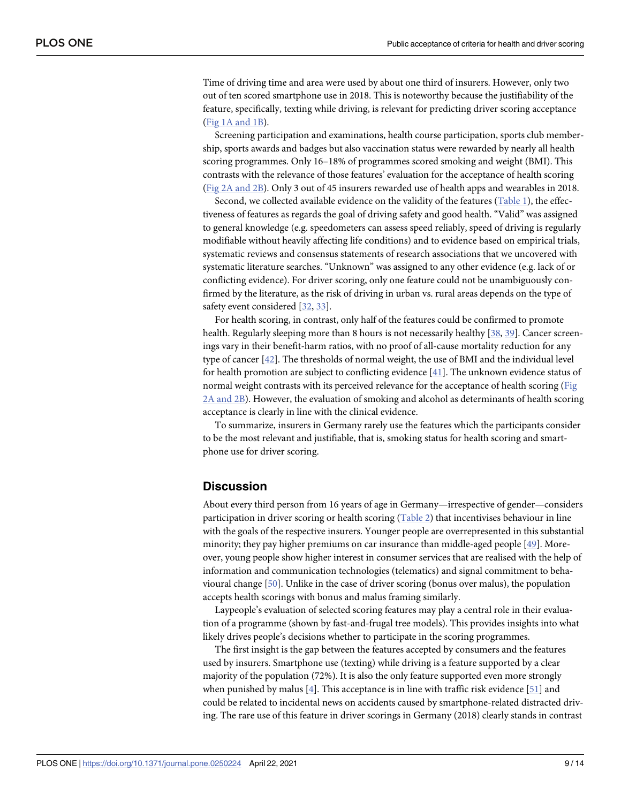<span id="page-8-0"></span>Time of driving time and area were used by about one third of insurers. However, only two out of ten scored smartphone use in 2018. This is noteworthy because the justifiability of the feature, specifically, texting while driving, is relevant for predicting driver scoring acceptance (Fig 1A [and](#page-6-0) 1B).

Screening participation and examinations, health course participation, sports club membership, sports awards and badges but also vaccination status were rewarded by nearly all health scoring programmes. Only 16–18% of programmes scored smoking and weight (BMI). This contrasts with the relevance of those features' evaluation for the acceptance of health scoring (Fig 2A [and](#page-7-0) 2B). Only 3 out of 45 insurers rewarded use of health apps and wearables in 2018.

Second, we collected available evidence on the validity of the features ([Table](#page-2-0) 1), the effectiveness of features as regards the goal of driving safety and good health. "Valid" was assigned to general knowledge (e.g. speedometers can assess speed reliably, speed of driving is regularly modifiable without heavily affecting life conditions) and to evidence based on empirical trials, systematic reviews and consensus statements of research associations that we uncovered with systematic literature searches. "Unknown" was assigned to any other evidence (e.g. lack of or conflicting evidence). For driver scoring, only one feature could not be unambiguously confirmed by the literature, as the risk of driving in urban vs. rural areas depends on the type of safety event considered [[32](#page-12-0), [33](#page-12-0)].

For health scoring, in contrast, only half of the features could be confirmed to promote health. Regularly sleeping more than 8 hours is not necessarily healthy [[38](#page-12-0), [39](#page-12-0)]. Cancer screenings vary in their benefit-harm ratios, with no proof of all-cause mortality reduction for any type of cancer [\[42\]](#page-12-0). The thresholds of normal weight, the use of BMI and the individual level for health promotion are subject to conflicting evidence [[41](#page-12-0)]. The unknown evidence status of normal weight contrasts with its perceived relevance for the acceptance of health scoring [\(Fig](#page-7-0) 2A [and](#page-7-0) 2B). However, the evaluation of smoking and alcohol as determinants of health scoring acceptance is clearly in line with the clinical evidence.

To summarize, insurers in Germany rarely use the features which the participants consider to be the most relevant and justifiable, that is, smoking status for health scoring and smartphone use for driver scoring.

#### **Discussion**

About every third person from 16 years of age in Germany—irrespective of gender—considers participation in driver scoring or health scoring ([Table](#page-5-0) 2) that incentivises behaviour in line with the goals of the respective insurers. Younger people are overrepresented in this substantial minority; they pay higher premiums on car insurance than middle-aged people [[49](#page-13-0)]. Moreover, young people show higher interest in consumer services that are realised with the help of information and communication technologies (telematics) and signal commitment to behavioural change [\[50\]](#page-13-0). Unlike in the case of driver scoring (bonus over malus), the population accepts health scorings with bonus and malus framing similarly.

Laypeople's evaluation of selected scoring features may play a central role in their evaluation of a programme (shown by fast-and-frugal tree models). This provides insights into what likely drives people's decisions whether to participate in the scoring programmes.

The first insight is the gap between the features accepted by consumers and the features used by insurers. Smartphone use (texting) while driving is a feature supported by a clear majority of the population (72%). It is also the only feature supported even more strongly when punished by malus [[4](#page-11-0)]. This acceptance is in line with traffic risk evidence [\[51\]](#page-13-0) and could be related to incidental news on accidents caused by smartphone-related distracted driving. The rare use of this feature in driver scorings in Germany (2018) clearly stands in contrast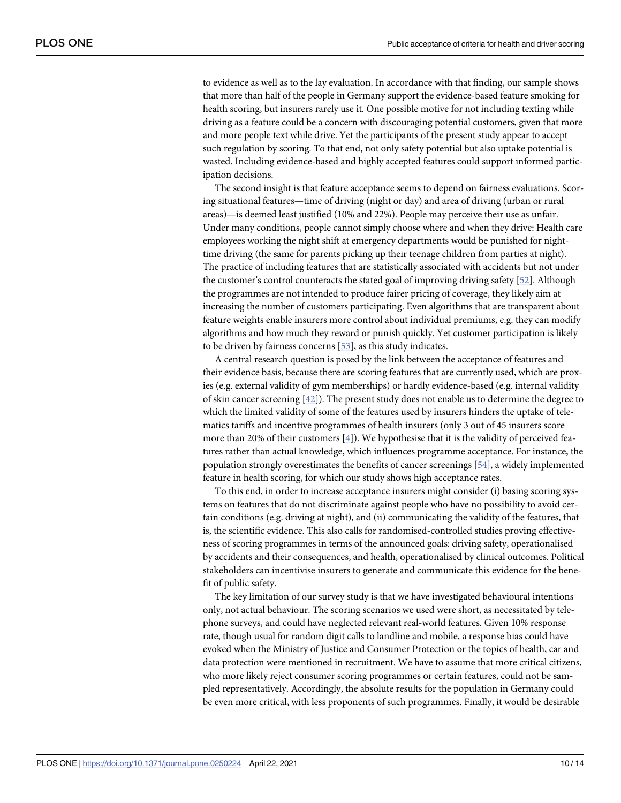<span id="page-9-0"></span>to evidence as well as to the lay evaluation. In accordance with that finding, our sample shows that more than half of the people in Germany support the evidence-based feature smoking for health scoring, but insurers rarely use it. One possible motive for not including texting while driving as a feature could be a concern with discouraging potential customers, given that more and more people text while drive. Yet the participants of the present study appear to accept such regulation by scoring. To that end, not only safety potential but also uptake potential is wasted. Including evidence-based and highly accepted features could support informed participation decisions.

The second insight is that feature acceptance seems to depend on fairness evaluations. Scoring situational features—time of driving (night or day) and area of driving (urban or rural areas)—is deemed least justified (10% and 22%). People may perceive their use as unfair. Under many conditions, people cannot simply choose where and when they drive: Health care employees working the night shift at emergency departments would be punished for nighttime driving (the same for parents picking up their teenage children from parties at night). The practice of including features that are statistically associated with accidents but not under the customer's control counteracts the stated goal of improving driving safety [[52](#page-13-0)]. Although the programmes are not intended to produce fairer pricing of coverage, they likely aim at increasing the number of customers participating. Even algorithms that are transparent about feature weights enable insurers more control about individual premiums, e.g. they can modify algorithms and how much they reward or punish quickly. Yet customer participation is likely to be driven by fairness concerns [\[53\]](#page-13-0), as this study indicates.

A central research question is posed by the link between the acceptance of features and their evidence basis, because there are scoring features that are currently used, which are proxies (e.g. external validity of gym memberships) or hardly evidence-based (e.g. internal validity of skin cancer screening [\[42\]](#page-12-0)). The present study does not enable us to determine the degree to which the limited validity of some of the features used by insurers hinders the uptake of telematics tariffs and incentive programmes of health insurers (only 3 out of 45 insurers score more than 20% of their customers [[4](#page-11-0)]). We hypothesise that it is the validity of perceived features rather than actual knowledge, which influences programme acceptance. For instance, the population strongly overestimates the benefits of cancer screenings [[54](#page-13-0)], a widely implemented feature in health scoring, for which our study shows high acceptance rates.

To this end, in order to increase acceptance insurers might consider (i) basing scoring systems on features that do not discriminate against people who have no possibility to avoid certain conditions (e.g. driving at night), and (ii) communicating the validity of the features, that is, the scientific evidence. This also calls for randomised-controlled studies proving effectiveness of scoring programmes in terms of the announced goals: driving safety, operationalised by accidents and their consequences, and health, operationalised by clinical outcomes. Political stakeholders can incentivise insurers to generate and communicate this evidence for the benefit of public safety.

The key limitation of our survey study is that we have investigated behavioural intentions only, not actual behaviour. The scoring scenarios we used were short, as necessitated by telephone surveys, and could have neglected relevant real-world features. Given 10% response rate, though usual for random digit calls to landline and mobile, a response bias could have evoked when the Ministry of Justice and Consumer Protection or the topics of health, car and data protection were mentioned in recruitment. We have to assume that more critical citizens, who more likely reject consumer scoring programmes or certain features, could not be sampled representatively. Accordingly, the absolute results for the population in Germany could be even more critical, with less proponents of such programmes. Finally, it would be desirable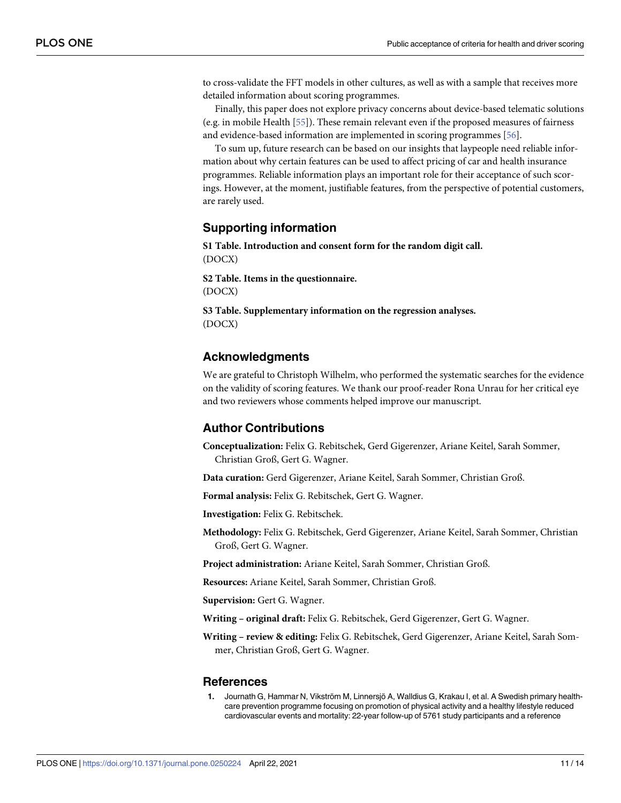<span id="page-10-0"></span>to cross-validate the FFT models in other cultures, as well as with a sample that receives more detailed information about scoring programmes.

Finally, this paper does not explore privacy concerns about device-based telematic solutions (e.g. in mobile Health [[55](#page-13-0)]). These remain relevant even if the proposed measures of fairness and evidence-based information are implemented in scoring programmes [[56](#page-13-0)].

To sum up, future research can be based on our insights that laypeople need reliable information about why certain features can be used to affect pricing of car and health insurance programmes. Reliable information plays an important role for their acceptance of such scorings. However, at the moment, justifiable features, from the perspective of potential customers, are rarely used.

#### **Supporting information**

**S1 [Table.](http://www.plosone.org/article/fetchSingleRepresentation.action?uri=info:doi/10.1371/journal.pone.0250224.s001) Introduction and consent form for the random digit call.** (DOCX)

**S2 [Table.](http://www.plosone.org/article/fetchSingleRepresentation.action?uri=info:doi/10.1371/journal.pone.0250224.s002) Items in the questionnaire.** (DOCX)

**S3 [Table.](http://www.plosone.org/article/fetchSingleRepresentation.action?uri=info:doi/10.1371/journal.pone.0250224.s003) Supplementary information on the regression analyses.** (DOCX)

#### **Acknowledgments**

We are grateful to Christoph Wilhelm, who performed the systematic searches for the evidence on the validity of scoring features. We thank our proof-reader Rona Unrau for her critical eye and two reviewers whose comments helped improve our manuscript.

#### **Author Contributions**

**Conceptualization:** Felix G. Rebitschek, Gerd Gigerenzer, Ariane Keitel, Sarah Sommer, Christian Groß, Gert G. Wagner.

**Data curation:** Gerd Gigerenzer, Ariane Keitel, Sarah Sommer, Christian Groß.

**Formal analysis:** Felix G. Rebitschek, Gert G. Wagner.

**Investigation:** Felix G. Rebitschek.

**Methodology:** Felix G. Rebitschek, Gerd Gigerenzer, Ariane Keitel, Sarah Sommer, Christian Groß, Gert G. Wagner.

**Project administration:** Ariane Keitel, Sarah Sommer, Christian Groß.

**Resources:** Ariane Keitel, Sarah Sommer, Christian Groß.

**Supervision:** Gert G. Wagner.

**Writing – original draft:** Felix G. Rebitschek, Gerd Gigerenzer, Gert G. Wagner.

**Writing – review & editing:** Felix G. Rebitschek, Gerd Gigerenzer, Ariane Keitel, Sarah Sommer, Christian Groß, Gert G. Wagner.

#### **References**

**[1](#page-0-0).** Journath G, Hammar N, Vikström M, Linnersjö A, Walldius G, Krakau I, et al. A Swedish primary healthcare prevention programme focusing on promotion of physical activity and a healthy lifestyle reduced cardiovascular events and mortality: 22-year follow-up of 5761 study participants and a reference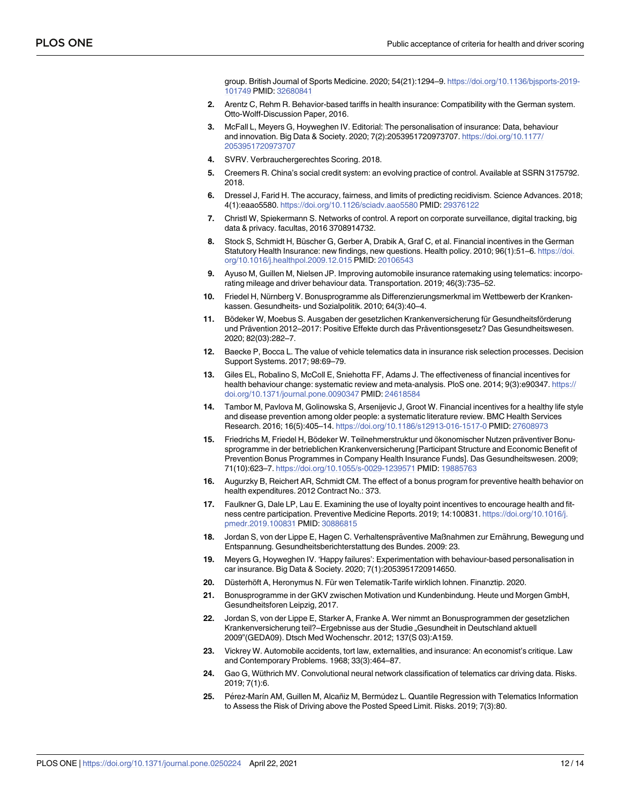group. British Journal of Sports Medicine. 2020; 54(21):1294–9. [https://doi.org/10.1136/bjsports-2019-](https://doi.org/10.1136/bjsports-2019-101749) [101749](https://doi.org/10.1136/bjsports-2019-101749) PMID: [32680841](http://www.ncbi.nlm.nih.gov/pubmed/32680841)

- <span id="page-11-0"></span>**[2](#page-0-0).** Arentz C, Rehm R. Behavior-based tariffs in health insurance: Compatibility with the German system. Otto-Wolff-Discussion Paper, 2016.
- **[3](#page-0-0).** McFall L, Meyers G, Hoyweghen IV. Editorial: The personalisation of insurance: Data, behaviour and innovation. Big Data & Society. 2020; 7(2):2053951720973707. [https://doi.org/10.1177/](https://doi.org/10.1177/2053951720973707) [2053951720973707](https://doi.org/10.1177/2053951720973707)
- **[4](#page-1-0).** SVRV. Verbrauchergerechtes Scoring. 2018.
- **[5](#page-1-0).** Creemers R. China's social credit system: an evolving practice of control. Available at SSRN 3175792. 2018.
- **[6](#page-1-0).** Dressel J, Farid H. The accuracy, fairness, and limits of predicting recidivism. Science Advances. 2018; 4(1):eaao5580. <https://doi.org/10.1126/sciadv.aao5580> PMID: [29376122](http://www.ncbi.nlm.nih.gov/pubmed/29376122)
- **[7](#page-1-0).** Christl W, Spiekermann S. Networks of control. A report on corporate surveillance, digital tracking, big data & privacy. facultas, 2016 3708914732.
- **[8](#page-1-0).** Stock S, Schmidt H, Büscher G, Gerber A, Drabik A, Graf C, et al. Financial incentives in the German Statutory Health Insurance: new findings, new questions. Health policy. 2010; 96(1):51–6. [https://doi.](https://doi.org/10.1016/j.healthpol.2009.12.015) [org/10.1016/j.healthpol.2009.12.015](https://doi.org/10.1016/j.healthpol.2009.12.015) PMID: [20106543](http://www.ncbi.nlm.nih.gov/pubmed/20106543)
- **[9](#page-1-0).** Ayuso M, Guillen M, Nielsen JP. Improving automobile insurance ratemaking using telematics: incorporating mileage and driver behaviour data. Transportation. 2019; 46(3):735–52.
- [10](#page-1-0). Friedel H, Nürnberg V. Bonusprogramme als Differenzierungsmerkmal im Wettbewerb der Krankenkassen. Gesundheits- und Sozialpolitik. 2010; 64(3):40–4.
- **[11](#page-1-0).** Bödeker W, Moebus S. Ausgaben der gesetzlichen Krankenversicherung für Gesundheitsförderung und Prävention 2012–2017: Positive Effekte durch das Präventionsgesetz? Das Gesundheitswesen. 2020; 82(03):282–7.
- **[12](#page-1-0).** Baecke P, Bocca L. The value of vehicle telematics data in insurance risk selection processes. Decision Support Systems. 2017; 98:69–79.
- **[13](#page-1-0).** Giles EL, Robalino S, McColl E, Sniehotta FF, Adams J. The effectiveness of financial incentives for health behaviour change: systematic review and meta-analysis. PloS one. 2014; 9(3):e90347. [https://](https://doi.org/10.1371/journal.pone.0090347) [doi.org/10.1371/journal.pone.0090347](https://doi.org/10.1371/journal.pone.0090347) PMID: [24618584](http://www.ncbi.nlm.nih.gov/pubmed/24618584)
- **[14](#page-1-0).** Tambor M, Pavlova M, Golinowska S, Arsenijevic J, Groot W. Financial incentives for a healthy life style and disease prevention among older people: a systematic literature review. BMC Health Services Research. 2016; 16(5):405–14. <https://doi.org/10.1186/s12913-016-1517-0> PMID: [27608973](http://www.ncbi.nlm.nih.gov/pubmed/27608973)
- [15](#page-1-0). Friedrichs M, Friedel H, Bödeker W. Teilnehmerstruktur und ökonomischer Nutzen präventiver Bonusprogramme in der betrieblichen Krankenversicherung [Participant Structure and Economic Benefit of Prevention Bonus Programmes in Company Health Insurance Funds]. Das Gesundheitswesen. 2009; 71(10):623–7. <https://doi.org/10.1055/s-0029-1239571> PMID: [19885763](http://www.ncbi.nlm.nih.gov/pubmed/19885763)
- **16.** Augurzky B, Reichert AR, Schmidt CM. The effect of a bonus program for preventive health behavior on health expenditures. 2012 Contract No.: 373.
- **[17](#page-1-0).** Faulkner G, Dale LP, Lau E. Examining the use of loyalty point incentives to encourage health and fitness centre participation. Preventive Medicine Reports. 2019; 14:100831. [https://doi.org/10.1016/j.](https://doi.org/10.1016/j.pmedr.2019.100831) [pmedr.2019.100831](https://doi.org/10.1016/j.pmedr.2019.100831) PMID: [30886815](http://www.ncbi.nlm.nih.gov/pubmed/30886815)
- [18](#page-1-0). Jordan S, von der Lippe E, Hagen C. Verhaltenspräventive Maßnahmen zur Ernährung, Bewegung und Entspannung. Gesundheitsberichterstattung des Bundes. 2009: 23.
- **[19](#page-1-0).** Meyers G, Hoyweghen IV. 'Happy failures': Experimentation with behaviour-based personalisation in car insurance. Big Data & Society. 2020; 7(1):2053951720914650.
- **[20](#page-1-0).** Düsterhöft A, Heronymus N. Für wen Telematik-Tarife wirklich lohnen. Finanztip. 2020.
- **[21](#page-1-0).** Bonusprogramme in der GKV zwischen Motivation und Kundenbindung. Heute und Morgen GmbH, Gesundheitsforen Leipzig, 2017.
- **[22](#page-1-0).** Jordan S, von der Lippe E, Starker A, Franke A. Wer nimmt an Bonusprogrammen der gesetzlichen Krankenversicherung teil?–Ergebnisse aus der Studie "Gesundheit in Deutschland aktuell 2009"(GEDA09). Dtsch Med Wochenschr. 2012; 137(S 03):A159.
- **[23](#page-1-0).** Vickrey W. Automobile accidents, tort law, externalities, and insurance: An economist's critique. Law and Contemporary Problems. 1968; 33(3):464–87.
- **[24](#page-1-0).** Gao G, Wüthrich MV. Convolutional neural network classification of telematics car driving data. Risks. 2019; 7(1):6.
- [25](#page-1-0). Pérez-Marín AM, Guillen M, Alcañiz M, Bermúdez L. Quantile Regression with Telematics Information to Assess the Risk of Driving above the Posted Speed Limit. Risks. 2019; 7(3):80.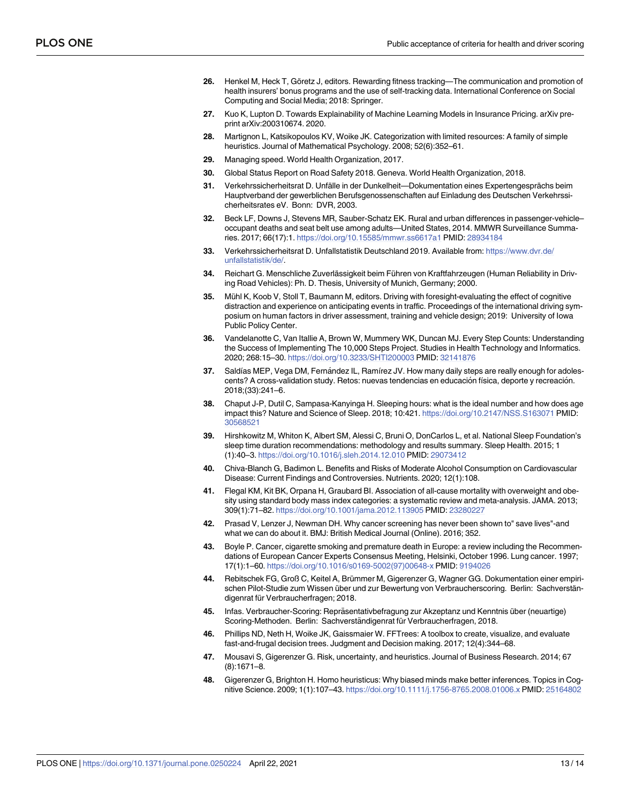- <span id="page-12-0"></span>[26](#page-2-0). Henkel M, Heck T, Göretz J, editors. Rewarding fitness tracking—The communication and promotion of health insurers' bonus programs and the use of self-tracking data. International Conference on Social Computing and Social Media; 2018: Springer.
- **[27](#page-2-0).** Kuo K, Lupton D. Towards Explainability of Machine Learning Models in Insurance Pricing. arXiv preprint arXiv:200310674. 2020.
- **[28](#page-2-0).** Martignon L, Katsikopoulos KV, Woike JK. Categorization with limited resources: A family of simple heuristics. Journal of Mathematical Psychology. 2008; 52(6):352–61.
- **[29](#page-2-0).** Managing speed. World Health Organization, 2017.
- **[30](#page-2-0).** Global Status Report on Road Safety 2018. Geneva. World Health Organization, 2018.
- **[31](#page-2-0).** Verkehrssicherheitsrat D. Unfälle in der Dunkelheit—Dokumentation eines Expertengesprächs beim Hauptverband der gewerblichen Berufsgenossenschaften auf Einladung des Deutschen Verkehrssicherheitsrates eV. Bonn: DVR, 2003.
- **[32](#page-2-0).** Beck LF, Downs J, Stevens MR, Sauber-Schatz EK. Rural and urban differences in passenger-vehicle– occupant deaths and seat belt use among adults—United States, 2014. MMWR Surveillance Summaries. 2017; 66(17):1. <https://doi.org/10.15585/mmwr.ss6617a1> PMID: [28934184](http://www.ncbi.nlm.nih.gov/pubmed/28934184)
- **[33](#page-2-0).** Verkehrssicherheitsrat D. Unfallstatistik Deutschland 2019. Available from: [https://www.dvr.de/](https://www.dvr.de/unfallstatistik/de/) [unfallstatistik/de/.](https://www.dvr.de/unfallstatistik/de/)
- **[34](#page-2-0).** Reichart G. Menschliche Zuverlässigkeit beim Führen von Kraftfahrzeugen (Human Reliability in Driving Road Vehicles): Ph. D. Thesis, University of Munich, Germany; 2000.
- **[35](#page-2-0).** Mühl K, Koob V, Stoll T, Baumann M, editors. Driving with foresight-evaluating the effect of cognitive distraction and experience on anticipating events in traffic. Proceedings of the international driving symposium on human factors in driver assessment, training and vehicle design; 2019: University of Iowa Public Policy Center.
- **[36](#page-2-0).** Vandelanotte C, Van Itallie A, Brown W, Mummery WK, Duncan MJ. Every Step Counts: Understanding the Success of Implementing The 10,000 Steps Project. Studies in Health Technology and Informatics. 2020; 268:15–30. <https://doi.org/10.3233/SHTI200003> PMID: [32141876](http://www.ncbi.nlm.nih.gov/pubmed/32141876)
- **[37](#page-2-0).** Saldías MEP, Vega DM, Fernández IL, Ramírez JV. How many daily steps are really enough for adolescents? A cross-validation study. Retos: nuevas tendencias en educación física, deporte y recreación. 2018;(33):241–6.
- **[38](#page-2-0).** Chaput J-P, Dutil C, Sampasa-Kanyinga H. Sleeping hours: what is the ideal number and how does age impact this? Nature and Science of Sleep. 2018; 10:421. <https://doi.org/10.2147/NSS.S163071> PMID: [30568521](http://www.ncbi.nlm.nih.gov/pubmed/30568521)
- **[39](#page-2-0).** Hirshkowitz M, Whiton K, Albert SM, Alessi C, Bruni O, DonCarlos L, et al. National Sleep Foundation's sleep time duration recommendations: methodology and results summary. Sleep Health. 2015; 1 (1):40–3. <https://doi.org/10.1016/j.sleh.2014.12.010> PMID: [29073412](http://www.ncbi.nlm.nih.gov/pubmed/29073412)
- **[40](#page-2-0).** Chiva-Blanch G, Badimon L. Benefits and Risks of Moderate Alcohol Consumption on Cardiovascular Disease: Current Findings and Controversies. Nutrients. 2020; 12(1):108.
- **[41](#page-2-0).** Flegal KM, Kit BK, Orpana H, Graubard BI. Association of all-cause mortality with overweight and obesity using standard body mass index categories: a systematic review and meta-analysis. JAMA. 2013; 309(1):71–82. <https://doi.org/10.1001/jama.2012.113905> PMID: [23280227](http://www.ncbi.nlm.nih.gov/pubmed/23280227)
- **[42](#page-2-0).** Prasad V, Lenzer J, Newman DH. Why cancer screening has never been shown to" save lives"-and what we can do about it. BMJ: British Medical Journal (Online). 2016; 352.
- **[43](#page-2-0).** Boyle P. Cancer, cigarette smoking and premature death in Europe: a review including the Recommendations of European Cancer Experts Consensus Meeting, Helsinki, October 1996. Lung cancer. 1997; 17(1):1–60. [https://doi.org/10.1016/s0169-5002\(97\)00648-x](https://doi.org/10.1016/s0169-5002%2897%2900648-x) PMID: [9194026](http://www.ncbi.nlm.nih.gov/pubmed/9194026)
- **[44](#page-3-0).** Rebitschek FG, Groß C, Keitel A, Brümmer M, Gigerenzer G, Wagner GG. Dokumentation einer empirischen Pilot-Studie zum Wissen über und zur Bewertung von Verbraucherscoring. Berlin: Sachverständigenrat für Verbraucherfragen; 2018.
- [45](#page-3-0). Infas. Verbraucher-Scoring: Repräsentativbefragung zur Akzeptanz und Kenntnis über (neuartige) Scoring-Methoden. Berlin: Sachverständigenrat für Verbraucherfragen, 2018.
- **[46](#page-4-0).** Phillips ND, Neth H, Woike JK, Gaissmaier W. FFTrees: A toolbox to create, visualize, and evaluate fast-and-frugal decision trees. Judgment and Decision making. 2017; 12(4):344–68.
- **[47](#page-6-0).** Mousavi S, Gigerenzer G. Risk, uncertainty, and heuristics. Journal of Business Research. 2014; 67 (8):1671–8.
- **[48](#page-6-0).** Gigerenzer G, Brighton H. Homo heuristicus: Why biased minds make better inferences. Topics in Cognitive Science. 2009; 1(1):107–43. <https://doi.org/10.1111/j.1756-8765.2008.01006.x> PMID: [25164802](http://www.ncbi.nlm.nih.gov/pubmed/25164802)